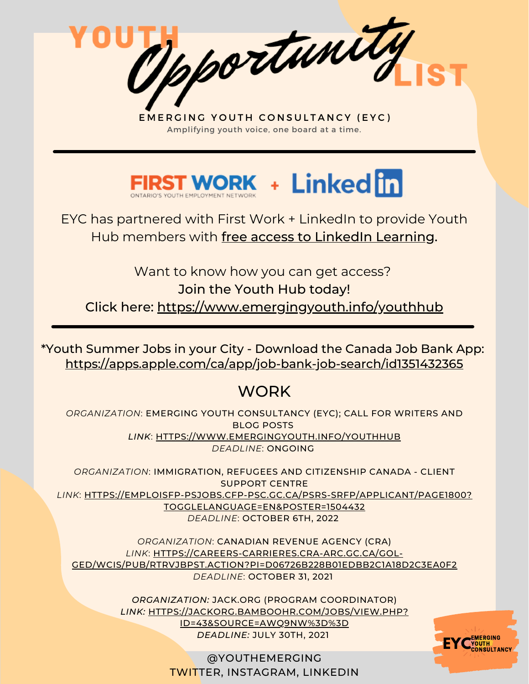Opportunity



EYC has partnered with First Work + LinkedIn to provide Youth Hub members with free access to LinkedIn Learning.

Want to know how you can get access? Join the Youth Hub today! Click here: <https://www.emergingyouth.info/youthhub>

<https://apps.apple.com/ca/app/job-bank-job-search/id1351432365> \*Youth Summer Jobs in your City - Download the Canada Job Bank App:

# **WORK**

*ORGANIZATION*: EMERGING YOUTH CONSULTANCY (EYC); CALL FOR WRITERS AND BLOG POSTS *LINK*: [HTTPS://WWW.EMERGINGYOUTH.INFO/YOUTHHUB](https://www.emergingyouth.info/youthhub) *DEADLINE*: ONGOING

*ORGANIZATION*: IMMIGRATION, REFUGEES AND CITIZENSHIP CANADA - CLIENT SUPPORT CENTRE *LINK*: [HTTPS://EMPLOISFP-PSJOBS.CFP-PSC.GC.CA/PSRS-SRFP/APPLICANT/PAGE1800?](https://emploisfp-psjobs.cfp-psc.gc.ca/psrs-srfp/applicant/page1800?toggleLanguage=en&poster=1504432) TOGGLELANGUAGE=EN&POSTER=1504432 *DEADLINE*: OCTOBER 6TH, 2022

*ORGANIZATION*: CANADIAN REVENUE AGENCY (CRA) *LINK*: HTTPS://CAREERS-CARRIERES.CRA-ARC.GC.CA/GOL-[GED/WCIS/PUB/RTRVJBPST.ACTION?PI=D06726B228B01EDBB2C1A18D2C3EA0F2](https://careers-carrieres.cra-arc.gc.ca/gol-ged/wcis/pub/rtrvjbpst.action?pi=D06726B228B01EDBB2C1A18D2C3EA0F2) *DEADLINE*: OCTOBER 31, 2021

> *ORGANIZATION:* JACK.ORG (PROGRAM COORDINATOR) *[LINK:](https://jackorg.bamboohr.com/jobs/view.php?id=43&source=aWQ9Nw%3D%3D)* [HTTPS://JACKORG.BAMBOOHR.COM/JOBS/VIEW.PHP?](https://jackorg.bamboohr.com/jobs/view.php?id=43&source=aWQ9Nw%3D%3D) ID=43&SOURCE=AWQ9NW%3D%3D *DEADLINE:* JULY 30TH, 2021

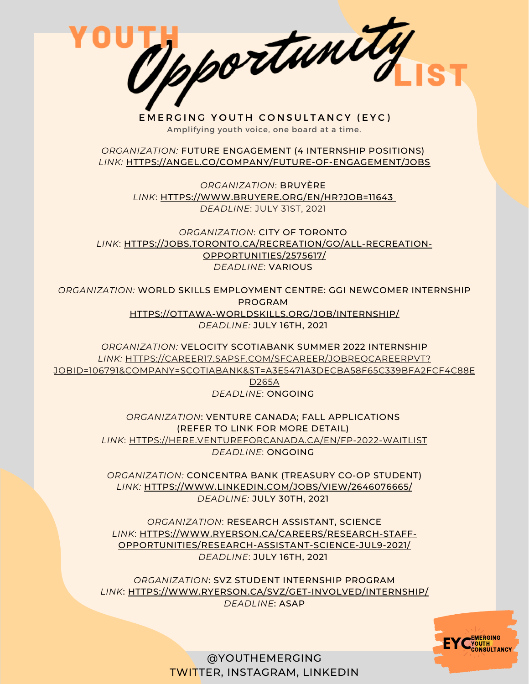Opportunity

*ORGANIZATION:* FUTURE ENGAGEMENT (4 INTERNSHIP POSITIONS) *[LINK:](https://angel.co/company/future-of-engagement/jobs)* [HTTPS://ANGEL.CO/COMPANY/FUTURE-OF-ENGAGEMENT/JOBS](https://angel.co/company/future-of-engagement/jobs)

> *ORGANIZATION*: BRUYÈRE *[LINK](https://www.bruyere.org/en/hr?job=11643)*[:](https://www.bruyere.org/en/hr?job=11643) [HTTPS://WWW.BRUYERE.ORG/EN/HR?JOB=11643](https://www.bruyere.org/en/hr?job=11643) *DEADLINE*: JULY 31ST, 2021

*ORGANIZATION*: CITY OF TORONTO *[LINK](https://jobs.toronto.ca/recreation/go/All-Recreation-Opportunities/2575617/)*[:](https://jobs.toronto.ca/recreation/go/All-Recreation-Opportunities/2575617/) [HTTPS://JOBS.TORONTO.CA/RECREATION/GO/ALL-RECREATION-](https://jobs.toronto.ca/recreation/go/All-Recreation-Opportunities/2575617/)OPPORTUNITIES/2575617/ *DEADLINE*: VARIOUS

*ORGANIZATION:* WORLD SKILLS EMPLOYMENT CENTRE: GGI NEWCOMER INTERNSHIP PROGRAM [HTTPS://OTTAWA-WORLDSKILLS.ORG/JOB/INTERNSHIP/](https://ottawa-worldskills.org/job/internship/) *DEADLINE:* JULY 16TH, 2021

*ORGANIZATION:* VELOCITY SCOTIABANK SUMMER 2022 INTERNSHIP *LINK:* HTTPS://CAREER17.SAPSF.COM/SFCAREER/JOBREQCAREERPVT? [JOBID=106791&COMPANY=SCOTIABANK&ST=A3E5471A3DECBA58F65C339BFA2FCF4C88E](https://career17.sapsf.com/sfcareer/jobreqcareerpvt?jobId=106791&company=scotiabank&st=A3E5471A3DECBA58F65C339BFA2FCF4C88ED265A) D265A

*DEADLINE*: ONGOING

*ORGANIZATION*: VENTURE CANADA; FALL APPLICATIONS (REFER TO LINK FOR MORE DETAIL) *[LINK](https://here.ventureforcanada.ca/en/fp-2022-waitlist)*[:](https://here.ventureforcanada.ca/en/fp-2022-waitlist) [HTTPS://HERE.VENTUREFORCANADA.CA/EN/FP-2022-WAITLIST](https://here.ventureforcanada.ca/en/fp-2022-waitlist) *DEADLINE*: ONGOING

*ORGANIZATION:* CONCENTRA BANK (TREASURY CO-OP STUDENT) *[LINK:](https://www.linkedin.com/jobs/view/2646076665/)* [HTTPS://WWW.LINKEDIN.COM/JOBS/VIEW/2646076665/](https://www.linkedin.com/jobs/view/2646076665/) *DEADLINE:* JULY 30TH, 2021

*ORGANIZATION*: RESEARCH ASSISTANT, SCIENCE *[LINK](https://here.ventureforcanada.ca/en/fp-2022-waitlist)*[:](https://here.ventureforcanada.ca/en/fp-2022-waitlist) HTTPS://WWW.RYERSON.CA/CAREERS/RESEARCH-STAFF-[OPPORTUNITIES/RESEARCH-ASSISTANT-SCIENCE-JUL9-2021/](https://www.ryerson.ca/careers/research-staff-opportunities/research-assistant-science-jul9-2021/) *DEADLINE*: JULY 16TH, 2021

*ORGANIZATION*: SVZ STUDENT INTERNSHIP PROGRAM *LINK*: [HTTPS://WWW.RYERSON.CA/SVZ/GET-INVOLVED/INTERNSHIP/](https://www.ryerson.ca/svz/get-involved/internship/) *DEADLINE*: ASAP

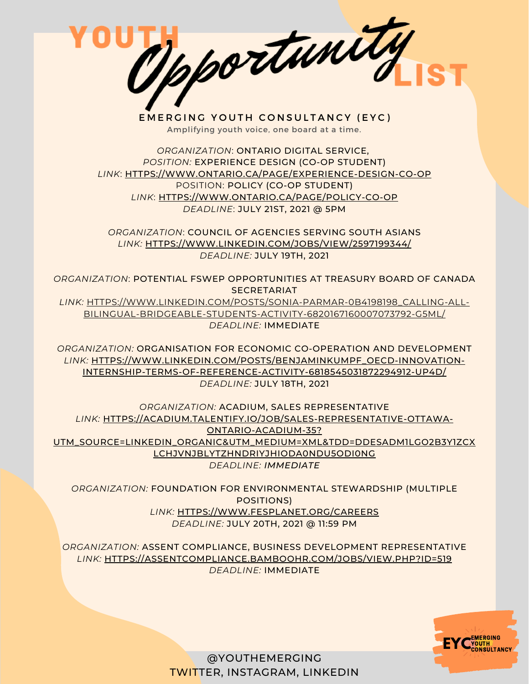EMERGING YOUTH CONSULTANCY (EYC) Amplifying youth voice, one board at a time.

*ORGANIZATION*: ONTARIO DIGITAL SERVICE, *POSITION:* EXPERIENCE DESIGN (CO-OP STUDENT) *[LINK](https://ccgsd-ccdgs.org/careers/)*[:](https://ccgsd-ccdgs.org/careers/) [HTTPS://WWW.ONTARIO.CA/PAGE/EXPERIENCE-DESIGN-CO-OP](https://www.ontario.ca/page/experience-design-co-op) POSITION: POLICY (CO-OP STUDENT) *[LINK](https://ccgsd-ccdgs.org/careers/)*[:](https://ccgsd-ccdgs.org/careers/) [HTTPS://WWW.ONTARIO.CA/PAGE/POLICY-CO-OP](https://www.ontario.ca/page/policy-co-op) *DEADLINE*: JULY 21ST, 2021 @ 5PM

*ORGANIZATION*: COUNCIL OF AGENCIES SERVING SOUTH ASIANS *[LINK:](https://ccgsd-ccdgs.org/careers/)* [HTTPS://WWW.LINKEDIN.COM/JOBS/VIEW/2597199344/](https://www.linkedin.com/jobs/view/2597199344/) *DEADLINE:* JULY 19TH, 2021

*ORGANIZATION*: POTENTIAL FSWEP OPPORTUNITIES AT TREASURY BOARD OF CANADA **SECRETARIAT** 

*[LINK:](https://ccgsd-ccdgs.org/careers/)* [HTTPS://WWW.LINKEDIN.COM/POSTS/SONIA-PARMAR-0B4198198\\_CALLING-ALL-](https://www.linkedin.com/posts/sonia-parmar-0b4198198_calling-all-bilingual-bridgeable-students-activity-6820167160007073792-G5ML/)BILINGUAL-BRIDGEABLE-STUDENTS-ACTIVITY-6820167160007073792-G5ML/ *DEADLINE:* IMMEDIATE

*ORGANIZATION:* ORGANISATION FOR ECONOMIC CO-OPERATION AND DEVELOPMENT *[LINK:](https://ccgsd-ccdgs.org/careers/)* [HTTPS://WWW.LINKEDIN.COM/POSTS/BENJAMINKUMPF\\_OECD-INNOVATION-](https://www.linkedin.com/posts/benjaminkumpf_oecd-innovation-internship-terms-of-reference-activity-6818545031872294912-Up4d/)INTERNSHIP-TERMS-OF-REFERENCE-ACTIVITY-6818545031872294912-UP4D/ *DEADLINE:* JULY 18TH, 2021

*ORGANIZATION:* ACADIUM, SALES REPRESENTATIVE *[LINK:](https://ccgsd-ccdgs.org/careers/)* HTTPS://ACADIUM.TALENTIFY.IO/JOB/SALES-REPRESENTATIVE-OTTAWA-ONTARIO-ACADIUM-35? [UTM\\_SOURCE=LINKEDIN\\_ORGANIC&UTM\\_MEDIUM=XML&TDD=DDESADM1LGO2B3Y1ZCX](https://acadium.talentify.io/job/sales-representative-ottawa-ontario-acadium-35?utm_source=linkedin_organic&utm_medium=Xml&tdd=dDEsaDM1LGo2b3Y1ZCxlcHJvNjBlYTZhNDRiYjhiODA0NDU5ODI0Ng) LCHJVNJBLYTZHNDRIYJHIODA0NDU5ODI0NG *DEADLINE: IMMEDIATE*

*ORGANIZATION:* FOUNDATION FOR ENVIRONMENTAL STEWARDSHIP (MULTIPLE POSITIONS) *[LINK:](https://ccgsd-ccdgs.org/careers/)* [HTTPS://WWW.FESPLANET.ORG/CAREERS](https://www.fesplanet.org/careers) *DEADLINE:* JULY 20TH, 2021 @ 11:59 PM

*ORGANIZATION:* ASSENT COMPLIANCE, BUSINESS DEVELOPMENT REPRESENTATIVE *[LINK:](https://ccgsd-ccdgs.org/careers/)* [HTTPS://ASSENTCOMPLIANCE.BAMBOOHR.COM/JOBS/VIEW.PHP?ID=519](https://assentcompliance.bamboohr.com/jobs/view.php?id=519) *DEADLINE:* IMMEDIATE

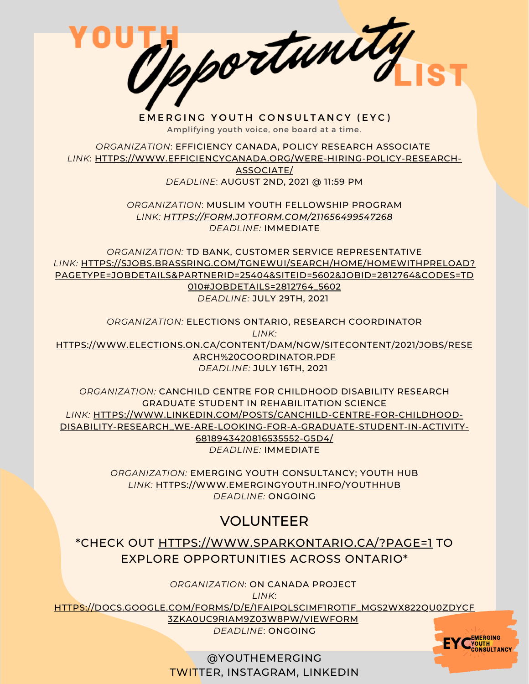EMERGING YOUTH CONSULTANCY (EYC) Amplifying youth voice, one board at a time.

*ORGANIZATION*: EFFICIENCY CANADA, POLICY RESEARCH ASSOCIATE *LINK*: [HTTPS://WWW.EFFICIENCYCANADA.ORG/WERE-HIRING-POLICY-RESEARCH-](https://www.efficiencycanada.org/were-hiring-policy-research-associate/)

ASSOCIATE/ *DEADLINE*: AUGUST 2ND, 2021 @ 11:59 PM

*ORGANIZATION*: MUSLIM YOUTH FELLOWSHIP PROGRAM *LINK: [HTTPS://FORM.JOTFORM.COM/211656499547268](https://form.jotform.com/211656499547268) DEADLINE:* IMMEDIATE

*ORGANIZATION:* TD BANK, CUSTOMER SERVICE REPRESENTATIVE *LINK:* HTTPS://SJOBS.BRASSRING.COM/TGNEWUI/SEARCH/HOME/HOMEWITHPRELOAD? [PAGETYPE=JOBDETAILS&PARTNERID=25404&SITEID=5602&JOBID=2812764&CODES=TD](https://sjobs.brassring.com/TGnewUI/Search/home/HomeWithPreLoad?PageType=JobDetails&partnerid=25404&siteid=5602&jobid=2812764&Codes=TD010#jobDetails=2812764_5602) 010#JOBDETAILS=2812764\_5602 *DEADLINE:* JULY 29TH, 2021

*ORGANIZATION:* ELECTIONS ONTARIO, RESEARCH COORDINATOR *LINK:* [HTTPS://WWW.ELECTIONS.ON.CA/CONTENT/DAM/NGW/SITECONTENT/2021/JOBS/RESE](https://www.elections.on.ca/content/dam/NGW/sitecontent/2021/jobs/Research%20Coordinator.pdf) ARCH%20COORDINATOR.PDF *DEADLINE:* JULY 16TH, 2021

*ORGANIZATION:* CANCHILD CENTRE FOR CHILDHOOD DISABILITY RESEARCH GRADUATE STUDENT IN REHABILITATION SCIENCE *LINK:* HTTPS://WWW.LINKEDIN.COM/POSTS/CANCHILD-CENTRE-FOR-CHILDHOOD-[DISABILITY-RESEARCH\\_WE-ARE-LOOKING-FOR-A-GRADUATE-STUDENT-IN-ACTIVITY-](https://www.linkedin.com/posts/canchild-centre-for-childhood-disability-research_we-are-looking-for-a-graduate-student-in-activity-6818943420816535552-G5D4/)6818943420816535552-G5D4/ *DEADLINE:* IMMEDIATE

> *ORGANIZATION:* EMERGING YOUTH CONSULTANCY; YOUTH HUB *LINK:* [HTTPS://WWW.EMERGINGYOUTH.INFO/YOUTHHUB](https://www.emergingyouth.info/youthhub) *DEADLINE:* ONGOING

## VOLUNTEER

\*CHECK OUT [HTTPS://WWW.SPARKONTARIO.CA/?PAGE=1](https://www.sparkontario.ca/?page=1) TO EXPLORE OPPORTUNITIES ACROSS ONTARIO\*

*ORGANIZATION*: ON CANADA PROJECT

*LINK*:

[HTTPS://DOCS.GOOGLE.COM/FORMS/D/E/1FAIPQLSCIMF1ROT1F\\_MGS2WX822QU0ZDYCF](https://docs.google.com/forms/d/e/1FAIpQLSciMF1ROT1f_mGS2Wx822QU0zDYcf3zka0UC9rIAM9z03W8Pw/viewform)

3ZKA0UC9RIAM9Z03W8PW/VIEWFORM *DEADLINE*: ONGOING

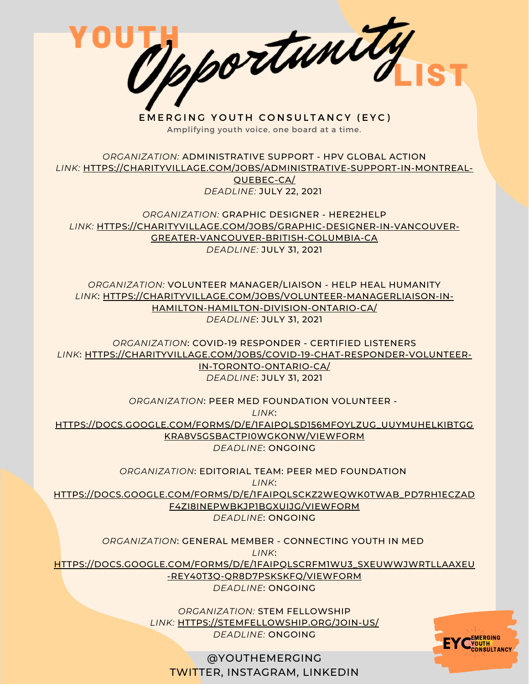EMERGING YOUTH CONSULTANCY (EYC) Amplifying youth voice, one board at a time.

*ORGANIZATION:* ADMINISTRATIVE SUPPORT - HPV GLOBAL ACTION *LINK:* [HTTPS://CHARITYVILLAGE.COM/JOBS/ADMINISTRATIVE-SUPPORT-IN-MONTREAL-](https://sandboxproject.us5.list-manage.com/track/click?u=1282e993486b7e61ebb31cd46&id=97554d148e&e=84a00a6451)QUEBEC-CA/ *DEADLINE:* JULY 22, 2021

*ORGANIZATION:* GRAPHIC DESIGNER - HERE2HELP *LINK:* [HTTPS://CHARITYVILLAGE.COM/JOBS/GRAPHIC-DESIGNER-IN-VANCOUVER-](https://sandboxproject.us5.list-manage.com/track/click?u=1282e993486b7e61ebb31cd46&id=35890b5cb3&e=84a00a6451)GREATER-VANCOUVER-BRITISH-COLUMBIA-CA *DEADLINE:* JULY 31, 2021

*ORGANIZATION:* VOLUNTEER MANAGER/LIAISON - HELP HEAL HUMANITY *LINK*: [HTTPS://CHARITYVILLAGE.COM/JOBS/VOLUNTEER-MANAGERLIAISON-IN-](https://sandboxproject.us5.list-manage.com/track/click?u=1282e993486b7e61ebb31cd46&id=59297b6fb1&e=84a00a6451)HAMILTON-HAMILTON-DIVISION-ONTARIO-CA/ *DEADLINE*: JULY 31, 2021

*ORGANIZATION*: COVID-19 RESPONDER - CERTIFIED LISTENERS *LINK*: [HTTPS://CHARITYVILLAGE.COM/JOBS/COVID-19-CHAT-RESPONDER-VOLUNTEER-](https://sandboxproject.us5.list-manage.com/track/click?u=1282e993486b7e61ebb31cd46&id=cc499f8b83&e=84a00a6451)IN-TORONTO-ONTARIO-CA/ *DEADLINE*: JULY 31, 2021

*ORGANIZATION*: PEER MED FOUNDATION VOLUNTEER -

*LINK*:

[HTTPS://DOCS.GOOGLE.COM/FORMS/D/E/1FAIPQLSD156MFOYLZUG\\_UUYMUHELKIBTGG](https://sandboxproject.us5.list-manage.com/track/click?u=1282e993486b7e61ebb31cd46&id=23f07856e7&e=84a00a6451) KRA8V5GSBACTPI0WGKONW/VIEWFORM *DEADLINE*: ONGOING

*ORGANIZATION*: EDITORIAL TEAM: PEER MED FOUNDATION

*LINK*:

[HTTPS://DOCS.GOOGLE.COM/FORMS/D/E/1FAIPQLSCKZ2WEQWK0TWAB\\_PD7RH1ECZAD](https://sandboxproject.us5.list-manage.com/track/click?u=1282e993486b7e61ebb31cd46&id=ffb32156b4&e=84a00a6451) F4ZI8INEPWBKJP1BGXUIJG/VIEWFORM

*DEADLINE*: ONGOING

*ORGANIZATION*: GENERAL MEMBER - CONNECTING YOUTH IN MED

*LINK*:

[HTTPS://DOCS.GOOGLE.COM/FORMS/D/E/1FAIPQLSCRFM1WU3\\_SXEUWWJWRTLLAAXEU](https://sandboxproject.us5.list-manage.com/track/click?u=1282e993486b7e61ebb31cd46&id=03e080523e&e=84a00a6451)

-REY40T3Q-QR8D7PSKSKFQ/VIEWFORM

*DEADLINE*: ONGOING

*ORGANIZATION:* STEM FELLOWSHIP *LINK:* [HTTPS://STEMFELLOWSHIP.ORG/JOIN-US/](https://stemfellowship.org/join-us/) *DEADLINE:* ONGOING

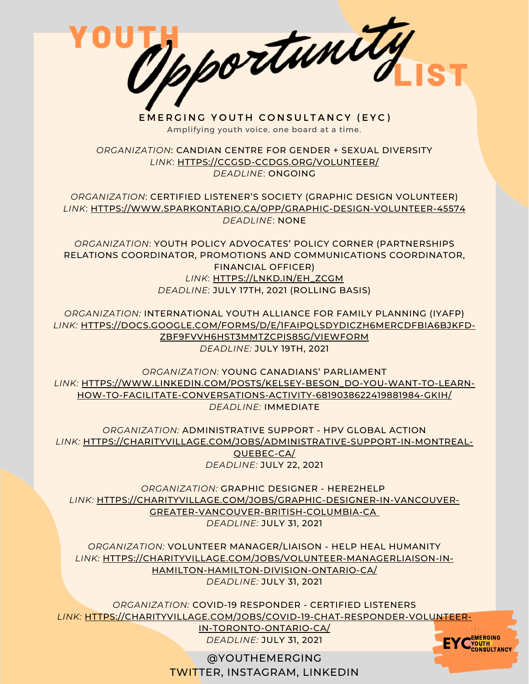EMERGING YOUTH CONSULTANCY (EYC) Amplifying youth voice, one board at a time.

*ORGANIZATION*: CANDIAN CENTRE FOR GENDER + SEXUAL DIVERSITY *LINK*: [HTTPS://CCGSD-CCDGS.ORG/VOLUNTEER/](https://ccgsd-ccdgs.org/volunteer/) *DEADLINE*: ONGOING

*ORGANIZATION*: CERTIFIED LISTENER'S SOCIETY (GRAPHIC DESIGN VOLUNTEER) *LINK*: [HTTPS://WWW.SPARKONTARIO.CA/OPP/GRAPHIC-DESIGN-VOLUNTEER-45574](https://www.sparkontario.ca/opp/graphic-design-volunteer-45574) *DEADLINE*: NONE

*ORGANIZATION*: YOUTH POLICY ADVOCATES' POLICY CORNER (PARTNERSHIPS RELATIONS COORDINATOR, PROMOTIONS AND COMMUNICATIONS COORDINATOR, FINANCIAL OFFICER) *LINK*: [HTTPS://LNKD.IN/EH\\_ZCGM](https://lnkd.in/eh_ZcGM) *DEADLINE*: JULY 17TH, 2021 (ROLLING BASIS)

*ORGANIZATION:* INTERNATIONAL YOUTH ALLIANCE FOR FAMILY PLANNING (IYAFP) *LINK:* [HTTPS://DOCS.GOOGLE.COM/FORMS/D/E/1FAIPQLSDYDICZH6MERCDFBIA6BJKFD-](https://docs.google.com/forms/d/e/1FAIpQLSdyDiCzH6mERCDfBIA6BjKfd-zBf9FVVh6Hst3mMTzcpis85g/viewform)ZBF9FVVH6HST3MMTZCPIS85G/VIEWFORM *DEADLINE:* JULY 19TH, 2021

*ORGANIZATION:* YOUNG CANADIANS' PARLIAMENT *LINK:* [HTTPS://WWW.LINKEDIN.COM/POSTS/KELSEY-BESON\\_DO-YOU-WANT-TO-LEARN-](https://www.linkedin.com/posts/kelsey-beson_do-you-want-to-learn-how-to-facilitate-conversations-activity-6819038622419881984-gkIH/)HOW-TO-FACILITATE-CONVERSATIONS-ACTIVITY-6819038622419881984-GKIH/ *DEADLINE:* IMMEDIATE

*ORGANIZATION:* ADMINISTRATIVE SUPPORT - HPV GLOBAL ACTION *LINK:* [HTTPS://CHARITYVILLAGE.COM/JOBS/ADMINISTRATIVE-SUPPORT-IN-MONTREAL-](https://sandboxproject.us5.list-manage.com/track/click?u=1282e993486b7e61ebb31cd46&id=97554d148e&e=84a00a6451)QUEBEC-CA/ *DEADLINE:* JULY 22, 2021

*ORGANIZATION:* GRAPHIC DESIGNER - HERE2HELP *LINK:* [HTTPS://CHARITYVILLAGE.COM/JOBS/GRAPHIC-DESIGNER-IN-VANCOUVER-](https://sandboxproject.us5.list-manage.com/track/click?u=1282e993486b7e61ebb31cd46&id=35890b5cb3&e=84a00a6451)GREATER-VANCOUVER-BRITISH-COLUMBIA-CA *DEADLINE:* JULY 31, 2021

*ORGANIZATION:* VOLUNTEER MANAGER/LIAISON - HELP HEAL HUMANITY *LINK:* [HTTPS://CHARITYVILLAGE.COM/JOBS/VOLUNTEER-MANAGERLIAISON-IN-](https://sandboxproject.us5.list-manage.com/track/click?u=1282e993486b7e61ebb31cd46&id=59297b6fb1&e=84a00a6451)HAMILTON-HAMILTON-DIVISION-ONTARIO-CA/ *DEADLINE:* JULY 31, 2021

*ORGANIZATION:* COVID-19 RESPONDER - CERTIFIED LISTENERS *LINK:* [HTTPS://CHARITYVILLAGE.COM/JOBS/COVID-19-CHAT-RESPONDER-VOLUNTEER-](https://sandboxproject.us5.list-manage.com/track/click?u=1282e993486b7e61ebb31cd46&id=cc499f8b83&e=84a00a6451)

IN-TORONTO-ONTARIO-CA/ *DEADLINE:* JULY 31, 2021

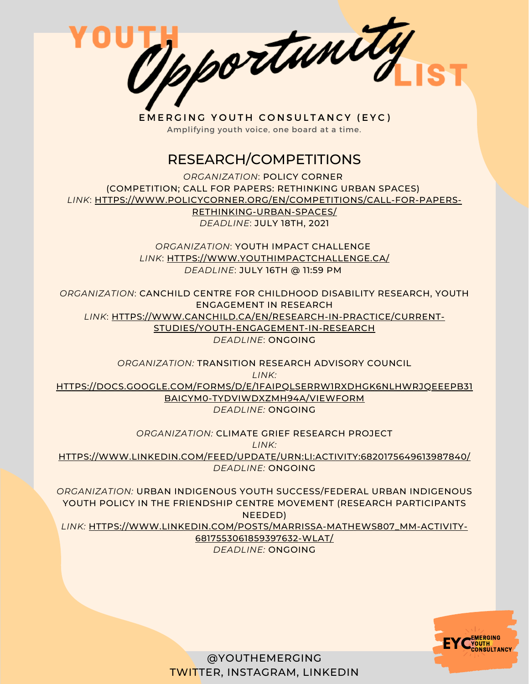

## RESEARCH/COMPETITIONS

*ORGANIZATION*: POLICY CORNER (COMPETITION; CALL FOR PAPERS: RETHINKING URBAN SPACES) *LINK*: [HTTPS://WWW.POLICYCORNER.ORG/EN/COMPETITIONS/CALL-FOR-PAPERS-](https://www.policycorner.org/en/competitions/call-for-papers-rethinking-urban-spaces/)RETHINKING-URBAN-SPACES/ *DEADLINE*: JULY 18TH, 2021

> *ORGANIZATION*: YOUTH IMPACT CHALLENGE *LINK*: [HTTPS://WWW.YOUTHIMPACTCHALLENGE.CA/](https://www.youthimpactchallenge.ca/) *DEADLINE*: JULY 16TH @ 11:59 PM

*ORGANIZATION*: CANCHILD CENTRE FOR CHILDHOOD DISABILITY RESEARCH, YOUTH ENGAGEMENT IN RESEARCH *LINK*: [HTTPS://WWW.CANCHILD.CA/EN/RESEARCH-IN-PRACTICE/CURRENT-](https://www.canchild.ca/en/research-in-practice/current-studies/youth-engagement-in-research)STUDIES/YOUTH-ENGAGEMENT-IN-RESEARCH *DEADLINE*: ONGOING

*ORGANIZATION:* TRANSITION RESEARCH ADVISORY COUNCIL *LINK:* [HTTPS://DOCS.GOOGLE.COM/FORMS/D/E/1FAIPQLSERRW1RXDHGK6NLHWRJQEEEPB31](https://docs.google.com/forms/d/e/1FAIpQLSeRrW1RxDhGK6NlhwrjqeEEpB31BAICym0-TydVIWdxZMH94A/viewform) BAICYM0-TYDVIWDXZMH94A/VIEWFORM *DEADLINE:* ONGOING

*ORGANIZATION:* CLIMATE GRIEF RESEARCH PROJECT *LINK:* [HTTPS://WWW.LINKEDIN.COM/FEED/UPDATE/URN:LI:ACTIVITY:6820175649613987840/](https://www.linkedin.com/feed/update/urn:li:activity:6820175649613987840/) *DEADLINE:* ONGOING

*ORGANIZATION:* URBAN INDIGENOUS YOUTH SUCCESS/FEDERAL URBAN INDIGENOUS YOUTH POLICY IN THE FRIENDSHIP CENTRE MOVEMENT (RESEARCH PARTICIPANTS NEEDED) *LINK:* [HTTPS://WWW.LINKEDIN.COM/POSTS/MARRISSA-MATHEWS807\\_MM-ACTIVITY-](https://www.linkedin.com/posts/marrissa-mathews807_mm-activity-6817553061859397632-WlAT/)6817553061859397632-WLAT/ *DEADLINE:* ONGOING

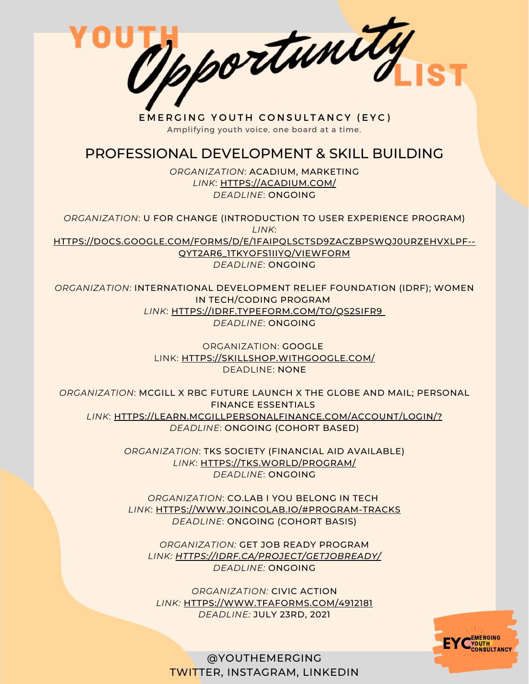Mportunity

#### PROFESSIONAL DEVELOPMENT & SKILL BUILDING

*ORGANIZATION*: ACADIUM, MARKETING *LINK*: [HTTPS://ACADIUM.COM/](https://acadium.com/) *DEADLINE*: ONGOING

*ORGANIZATION*: U FOR CHANGE (INTRODUCTION TO USER EXPERIENCE PROGRAM) *LINK*: [HTTPS://DOCS.GOOGLE.COM/FORMS/D/E/1FAIPQLSCTSD9ZACZBPSWQJ0URZEHVXLPF--](https://docs.google.com/forms/d/e/1FAIpQLSctSd9ZAcZBpswQj0URzEHVXlpF--qyT2AR6_1tKyoFS1iIYQ/viewform) QYT2AR6\_1TKYOFS1IIYQ/VIEWFORM *DEADLINE*: ONGOING

*ORGANIZATION*: INTERNATIONAL DEVELOPMENT RELIEF FOUNDATION (IDRF); WOMEN IN TECH/CODING PROGRAM *LINK*: [HTTPS://IDRF.TYPEFORM.COM/TO/QS2SIFR9](https://idrf.typeform.com/to/qs2SIFR9) *DEADLINE*: ONGOING

> ORGANIZATION: GOOGLE LINK: [HTTPS://SKILLSHOP.WITHGOOGLE.COM/](https://skillshop.withgoogle.com/) DEADLINE: NONE

*ORGANIZATION*: MCGILL X RBC FUTURE LAUNCH X THE GLOBE AND MAIL; PERSONAL FINANCE ESSENTIALS *LINK*: [HTTPS://LEARN.MCGILLPERSONALFINANCE.COM/ACCOUNT/LOGIN/?](https://learn.mcgillpersonalfinance.com/account/login/) *DEADLINE*: ONGOING (COHORT BASED)

> *ORGANIZATION*: TKS SOCIETY (FINANCIAL AID AVAILABLE) *LINK*: [HTTPS://TKS.WORLD/PROGRAM/](https://tks.world/program/) *DEADLINE*: ONGOING

*ORGANIZATION*: CO.LAB I YOU BELONG IN TECH *LINK*: [HTTPS://WWW.JOINCOLAB.IO/#PROGRAM-TRACKS](https://www.joincolab.io/#Program-Tracks) *DEADLINE*: ONGOING (COHORT BASIS)

*ORGANIZATION:* GET JOB READY PROGRAM *LINK: [HTTPS://IDRF.CA/PROJECT/GETJOBREADY/](https://idrf.ca/project/getjobready/) DEADLINE:* ONGOING

*ORGANIZATION:* CIVIC ACTION *LINK:* [HTTPS://WWW.TFAFORMS.COM/4912181](https://www.tfaforms.com/4912181) *DEADLINE:* JULY 23RD, 2021

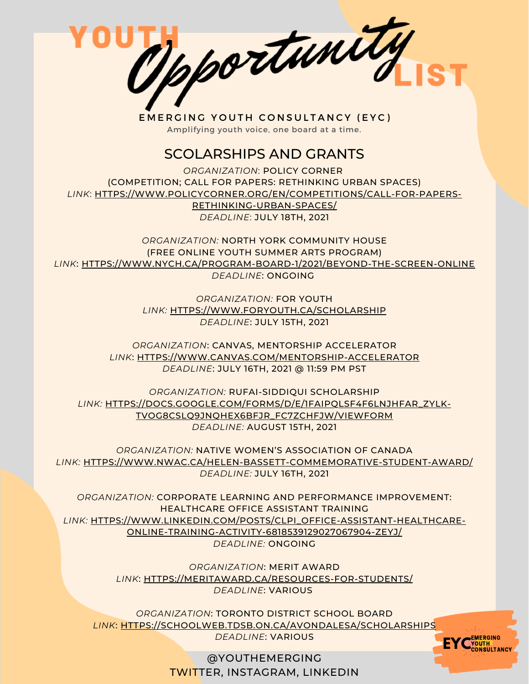Opportunity

#### SCOLARSHIPS AND GRANTS

*ORGANIZATION*: POLICY CORNER (COMPETITION; CALL FOR PAPERS: RETHINKING URBAN SPACES) *LINK*: [HTTPS://WWW.POLICYCORNER.ORG/EN/COMPETITIONS/CALL-FOR-PAPERS-](https://www.policycorner.org/en/competitions/call-for-papers-rethinking-urban-spaces/)RETHINKING-URBAN-SPACES/

*DEADLINE*: JULY 18TH, 2021

*ORGANIZATION:* NORTH YORK COMMUNITY HOUSE (FREE ONLINE YOUTH SUMMER ARTS PROGRAM) *LINK*: [HTTPS://WWW.NYCH.CA/PROGRAM-BOARD-1/2021/BEYOND-THE-SCREEN-ONLINE](https://www.nych.ca/program-board-1/2021/beyond-the-screen-online) *DEADLINE*: ONGOING

> *ORGANIZATION:* FOR YOUTH *[LINK:](https://www.foryouth.ca/scholarship)* [HTTPS://WWW.FORYOUTH.CA/SCHOLARSHIP](https://www.foryouth.ca/scholarship) *DEADLINE*: JULY 15TH, 2021

*ORGANIZATION*: CANVAS, MENTORSHIP ACCELERATOR *[LINK](https://bbpa.org/bbpa-scholarships/)*[:](https://bbpa.org/bbpa-scholarships/) [HTTPS://WWW.CANVAS.COM/MENTORSHIP-ACCELERATOR](https://www.canvas.com/mentorship-accelerator) *DEADLINE*: JULY 16TH, 2021 @ 11:59 PM PST

*ORGANIZATION:* RUFAI-SIDDIQUI SCHOLARSHIP *[LINK:](https://bbpa.org/bbpa-scholarships/)* [HTTPS://DOCS.GOOGLE.COM/FORMS/D/E/1FAIPQLSF4F6LNJHFAR\\_ZYLK-](https://docs.google.com/forms/d/e/1FAIpQLSf4F6LNJhFaR_ZyLk-Tvog8cslQ9jNQHeX6BfJR_FC7ZChfjw/viewform)TVOG8CSLQ9JNQHEX6BFJR\_FC7ZCHFJW/VIEWFORM *DEADLINE:* AUGUST 15TH, 2021

*ORGANIZATION:* NATIVE WOMEN'S ASSOCIATION OF CANADA *[LINK:](https://bbpa.org/bbpa-scholarships/)* [HTTPS://WWW.NWAC.CA/HELEN-BASSETT-COMMEMORATIVE-STUDENT-AWARD/](https://www.nwac.ca/helen-bassett-commemorative-student-award/) *DEADLINE:* JULY 16TH, 2021

*ORGANIZATION:* CORPORATE LEARNING AND PERFORMANCE IMPROVEMENT: HEALTHCARE OFFICE ASSISTANT TRAINING *[LINK:](https://bbpa.org/bbpa-scholarships/)* [HTTPS://WWW.LINKEDIN.COM/POSTS/CLPI\\_OFFICE-ASSISTANT-HEALTHCARE-](https://www.linkedin.com/posts/clpi_office-assistant-healthcare-online-training-activity-6818539129027067904-zeYJ/)ONLINE-TRAINING-ACTIVITY-6818539129027067904-ZEYJ/ *DEADLINE:* ONGOING

> *ORGANIZATION*: MERIT AWARD *[LINK](https://meritaward.ca/resources-for-students/)*[:](https://meritaward.ca/resources-for-students/) [HTTPS://MERITAWARD.CA/RESOURCES-FOR-STUDENTS/](https://meritaward.ca/resources-for-students/) *DEADLINE*: VARIOUS

*ORGANIZATION*: TORONTO DISTRICT SCHOOL BOARD *[LINK](https://schoolweb.tdsb.on.ca/avondalesa/Scholarships)*[:](https://schoolweb.tdsb.on.ca/avondalesa/Scholarships) [HTTPS://SCHOOLWEB.TDSB.ON.CA/AVONDALESA/SCHOLARSHIPS](https://schoolweb.tdsb.on.ca/avondalesa/Scholarships) *DEADLINE*: VARIOUS

> @YOUTHEMERGING TWITTER, INSTAGRAM, LINKEDIN

**EYC**<sup>EMERGING</sup>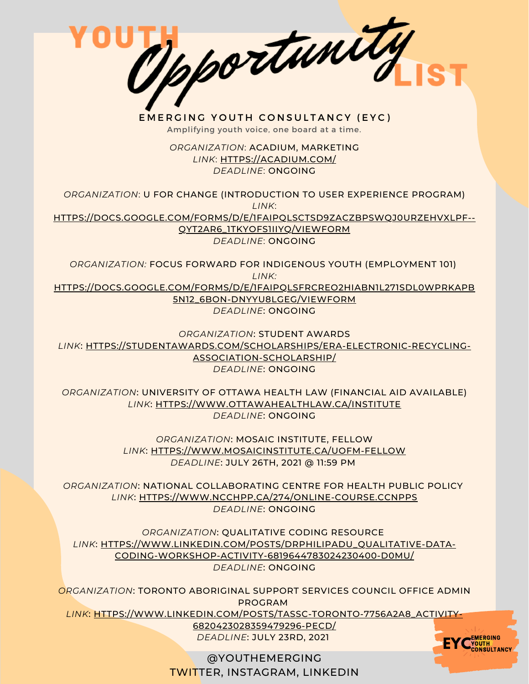Opportunity

> *ORGANIZATION*: ACADIUM, MARKETING *LINK*: [HTTPS://ACADIUM.COM/](https://acadium.com/) *DEADLINE*: ONGOING

*ORGANIZATION*: U FOR CHANGE (INTRODUCTION TO USER EXPERIENCE PROGRAM) *LINK*: [HTTPS://DOCS.GOOGLE.COM/FORMS/D/E/1FAIPQLSCTSD9ZACZBPSWQJ0URZEHVXLPF--](https://docs.google.com/forms/d/e/1FAIpQLSctSd9ZAcZBpswQj0URzEHVXlpF--qyT2AR6_1tKyoFS1iIYQ/viewform) QYT2AR6\_1TKYOFS1IIYQ/VIEWFORM

*DEADLINE*: ONGOING

*ORGANIZATION:* FOCUS FORWARD FOR INDIGENOUS YOUTH (EMPLOYMENT 101) *LINK:* [HTTPS://DOCS.GOOGLE.COM/FORMS/D/E/1FAIPQLSFRCREO2HIABN1L271SDL0WPRKAPB](https://docs.google.com/forms/d/e/1FAIpQLSfRCREo2hIabn1L271SDl0wPRkApB5N12_6bON-DnyYu8lGEg/viewform) 5N12\_6BON-DNYYU8LGEG/VIEWFORM *DEADLINE*: ONGOING

*ORGANIZATION*: STUDENT AWARDS *LINK*: [HTTPS://STUDENTAWARDS.COM/SCHOLARSHIPS/ERA-ELECTRONIC-RECYCLING-](https://studentawards.com/scholarships/era-electronic-recycling-association-scholarship/)ASSOCIATION-SCHOLARSHIP/ *DEADLINE*: ONGOING

*ORGANIZATION*: UNIVERSITY OF OTTAWA HEALTH LAW (FINANCIAL AID AVAILABLE) *LINK*: [HTTPS://WWW.OTTAWAHEALTHLAW.CA/INSTITUTE](https://www.ottawahealthlaw.ca/institute) *DEADLINE*: ONGOING

> *ORGANIZATION*: MOSAIC INSTITUTE, FELLOW *LINK*: [HTTPS://WWW.MOSAICINSTITUTE.CA/UOFM-FELLOW](https://www.mosaicinstitute.ca/UofM-Fellow) *DEADLINE*: JULY 26TH, 2021 @ 11:59 PM

*ORGANIZATION*: NATIONAL COLLABORATING CENTRE FOR HEALTH PUBLIC POLICY *LINK*: [HTTPS://WWW.NCCHPP.CA/274/ONLINE-COURSE.CCNPPS](https://www.ncchpp.ca/274/online-course.ccnpps) *DEADLINE*: ONGOING

*ORGANIZATION*: QUALITATIVE CODING RESOURCE *LINK*: [HTTPS://WWW.LINKEDIN.COM/POSTS/DRPHILIPADU\\_QUALITATIVE-DATA-](https://www.linkedin.com/posts/drphilipadu_qualitative-data-coding-workshop-activity-6819644783024230400-d0mU/)CODING-WORKSHOP-ACTIVITY-6819644783024230400-D0MU/ *DEADLINE*: ONGOING

*ORGANIZATION*: TORONTO ABORIGINAL SUPPORT SERVICES COUNCIL OFFICE ADMIN PROGRAM

*LINK*: [HTTPS://WWW.LINKEDIN.COM/POSTS/TASSC-TORONTO-7756A2A8\\_ACTIVITY-](https://www.linkedin.com/posts/tassc-toronto-7756a2a8_activity-6820423028359479296-Pecd/)

6820423028359479296-PECD/ *DEADLINE*: JULY 23RD, 2021